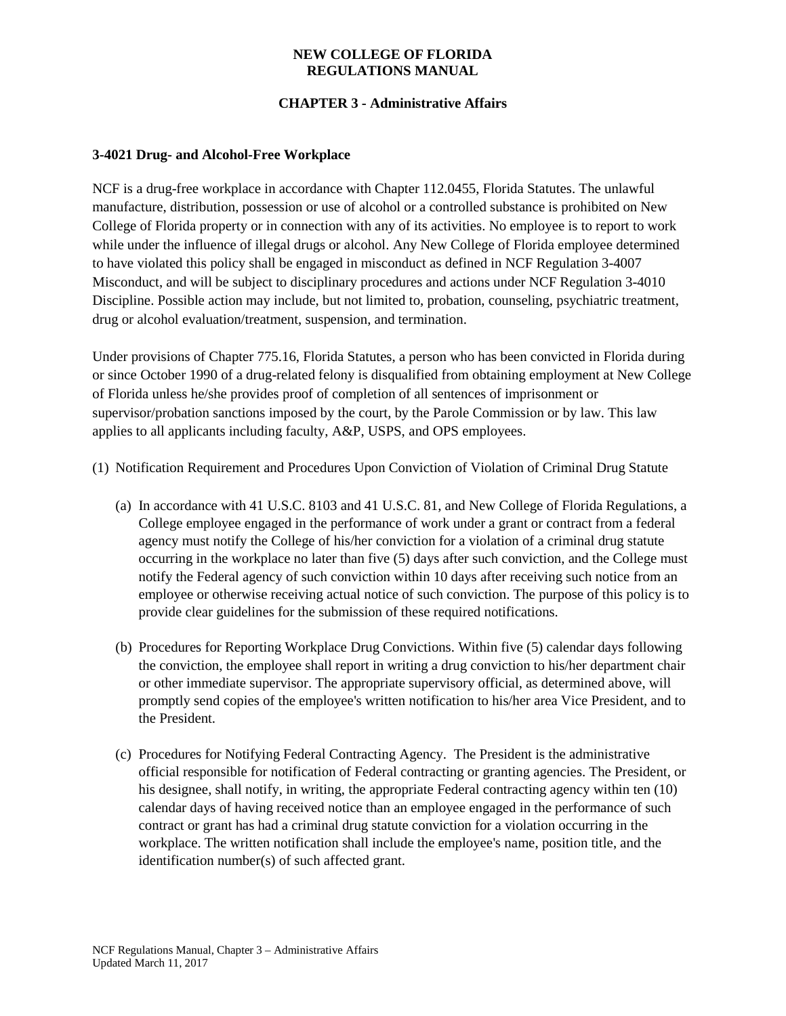### **NEW COLLEGE OF FLORIDA REGULATIONS MANUAL**

# **CHAPTER 3 - Administrative Affairs**

#### **3-4021 Drug- and Alcohol-Free Workplace**

NCF is a drug-free workplace in accordance with Chapter 112.0455, Florida Statutes. The unlawful manufacture, distribution, possession or use of alcohol or a controlled substance is prohibited on New College of Florida property or in connection with any of its activities. No employee is to report to work while under the influence of illegal drugs or alcohol. Any New College of Florida employee determined to have violated this policy shall be engaged in misconduct as defined in NCF Regulation 3-4007 Misconduct, and will be subject to disciplinary procedures and actions under NCF Regulation 3-4010 Discipline. Possible action may include, but not limited to, probation, counseling, psychiatric treatment, drug or alcohol evaluation/treatment, suspension, and termination.

Under provisions of Chapter 775.16, Florida Statutes, a person who has been convicted in Florida during or since October 1990 of a drug-related felony is disqualified from obtaining employment at New College of Florida unless he/she provides proof of completion of all sentences of imprisonment or supervisor/probation sanctions imposed by the court, by the Parole Commission or by law. This law applies to all applicants including faculty, A&P, USPS, and OPS employees.

(1) Notification Requirement and Procedures Upon Conviction of Violation of Criminal Drug Statute

- (a) In accordance with 41 U.S.C. 8103 and 41 U.S.C. 81, and New College of Florida Regulations, a College employee engaged in the performance of work under a grant or contract from a federal agency must notify the College of his/her conviction for a violation of a criminal drug statute occurring in the workplace no later than five (5) days after such conviction, and the College must notify the Federal agency of such conviction within 10 days after receiving such notice from an employee or otherwise receiving actual notice of such conviction. The purpose of this policy is to provide clear guidelines for the submission of these required notifications.
- (b) Procedures for Reporting Workplace Drug Convictions. Within five (5) calendar days following the conviction, the employee shall report in writing a drug conviction to his/her department chair or other immediate supervisor. The appropriate supervisory official, as determined above, will promptly send copies of the employee's written notification to his/her area Vice President, and to the President.
- (c) Procedures for Notifying Federal Contracting Agency. The President is the administrative official responsible for notification of Federal contracting or granting agencies. The President, or his designee, shall notify, in writing, the appropriate Federal contracting agency within ten (10) calendar days of having received notice than an employee engaged in the performance of such contract or grant has had a criminal drug statute conviction for a violation occurring in the workplace. The written notification shall include the employee's name, position title, and the identification number(s) of such affected grant.